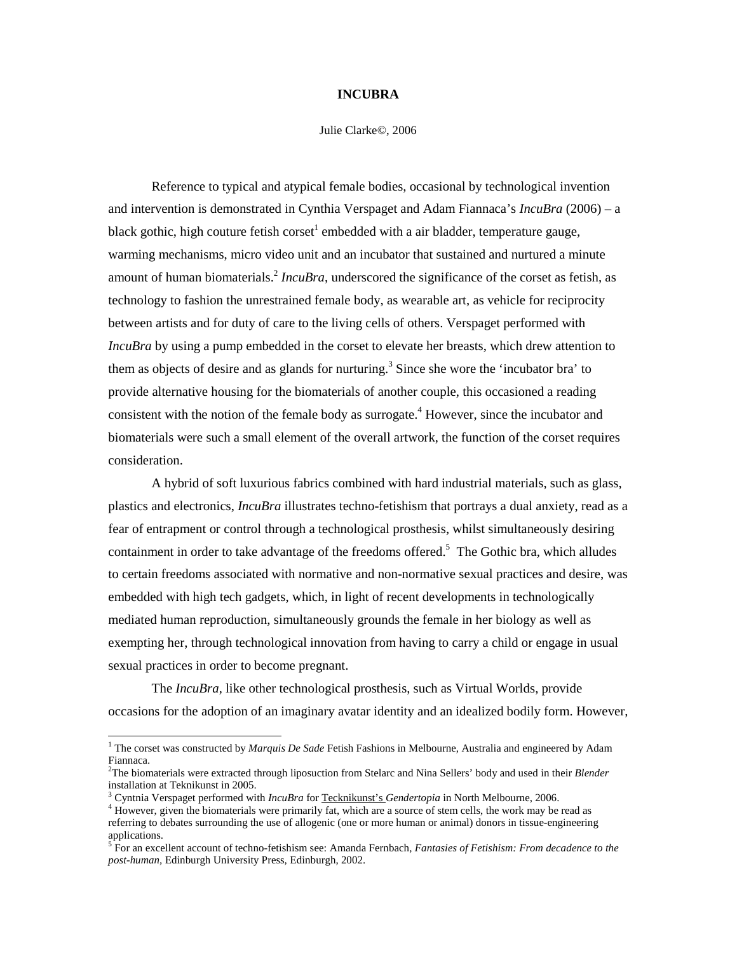## **INCUBRA**

## Julie Clarke©, 2006

Reference to typical and atypical female bodies, occasional by technological invention and intervention is demonstrated in Cynthia Verspaget and Adam Fiannaca's *IncuBra* (2006) – a black gothic, high couture fetish corset<sup>1</sup> embedded with a air bladder, temperature gauge, warming mechanisms, micro video unit and an incubator that sustained and nurtured a minute amount of human biomaterials.<sup>2</sup> *IncuBra*, underscored the significance of the corset as fetish, as technology to fashion the unrestrained female body, as wearable art, as vehicle for reciprocity between artists and for duty of care to the living cells of others. Verspaget performed with *IncuBra* by using a pump embedded in the corset to elevate her breasts, which drew attention to them as objects of desire and as glands for nurturing.<sup>3</sup> Since she wore the 'incubator bra' to provide alternative housing for the biomaterials of another couple, this occasioned a reading consistent with the notion of the female body as surrogate.<sup>4</sup> However, since the incubator and biomaterials were such a small element of the overall artwork, the function of the corset requires consideration.

A hybrid of soft luxurious fabrics combined with hard industrial materials, such as glass, plastics and electronics, *IncuBra* illustrates techno-fetishism that portrays a dual anxiety, read as a fear of entrapment or control through a technological prosthesis, whilst simultaneously desiring containment in order to take advantage of the freedoms offered.<sup>5</sup> The Gothic bra, which alludes to certain freedoms associated with normative and non-normative sexual practices and desire, was embedded with high tech gadgets, which, in light of recent developments in technologically mediated human reproduction, simultaneously grounds the female in her biology as well as exempting her, through technological innovation from having to carry a child or engage in usual sexual practices in order to become pregnant.

The *IncuBra,* like other technological prosthesis, such as Virtual Worlds, provide occasions for the adoption of an imaginary avatar identity and an idealized bodily form. However,

 1 The corset was constructed by *Marquis De Sade* Fetish Fashions in Melbourne, Australia and engineered by Adam Fiannaca.

<sup>2</sup>The biomaterials were extracted through liposuction from Stelarc and Nina Sellers' body and used in their *Blender* installation at Teknikunst in 2005.

<sup>3</sup> Cyntnia Verspaget performed with *IncuBra* for Tecknikunst's *Gendertopia* in North Melbourne, 2006.

<sup>&</sup>lt;sup>4</sup> However, given the biomaterials were primarily fat, which are a source of stem cells, the work may be read as referring to debates surrounding the use of allogenic (one or more human or animal) donors in tissue-engineering applications.

<sup>5</sup> For an excellent account of techno-fetishism see: Amanda Fernbach, *Fantasies of Fetishism: From decadence to the post-human,* Edinburgh University Press, Edinburgh, 2002.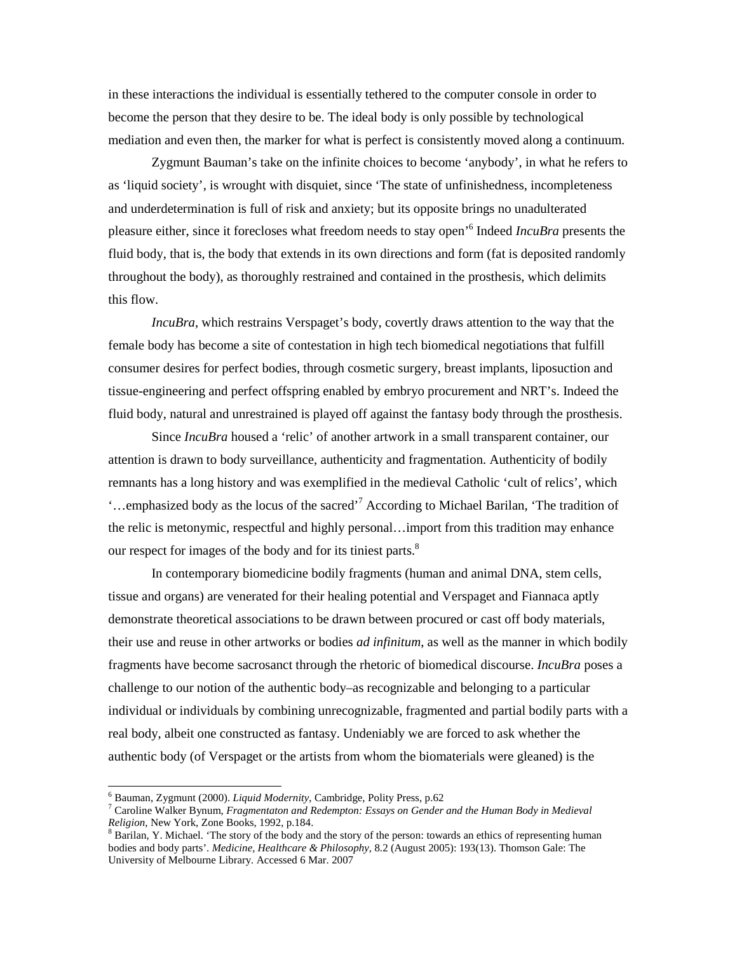in these interactions the individual is essentially tethered to the computer console in order to become the person that they desire to be. The ideal body is only possible by technological mediation and even then, the marker for what is perfect is consistently moved along a continuum.

Zygmunt Bauman's take on the infinite choices to become 'anybody', in what he refers to as 'liquid society', is wrought with disquiet, since 'The state of unfinishedness, incompleteness and underdetermination is full of risk and anxiety; but its opposite brings no unadulterated pleasure either, since it forecloses what freedom needs to stay open'<sup>6</sup> Indeed *IncuBra* presents the fluid body, that is, the body that extends in its own directions and form (fat is deposited randomly throughout the body), as thoroughly restrained and contained in the prosthesis, which delimits this flow.

*IncuBra*, which restrains Verspaget's body, covertly draws attention to the way that the female body has become a site of contestation in high tech biomedical negotiations that fulfill consumer desires for perfect bodies, through cosmetic surgery, breast implants, liposuction and tissue-engineering and perfect offspring enabled by embryo procurement and NRT's. Indeed the fluid body, natural and unrestrained is played off against the fantasy body through the prosthesis.

Since *IncuBra* housed a 'relic' of another artwork in a small transparent container, our attention is drawn to body surveillance, authenticity and fragmentation. Authenticity of bodily remnants has a long history and was exemplified in the medieval Catholic 'cult of relics', which '…emphasized body as the locus of the sacred'<sup>7</sup> According to Michael Barilan, 'The tradition of the relic is metonymic, respectful and highly personal…import from this tradition may enhance our respect for images of the body and for its tiniest parts.<sup>8</sup>

In contemporary biomedicine bodily fragments (human and animal DNA, stem cells, tissue and organs) are venerated for their healing potential and Verspaget and Fiannaca aptly demonstrate theoretical associations to be drawn between procured or cast off body materials, their use and reuse in other artworks or bodies *ad infinitum*, as well as the manner in which bodily fragments have become sacrosanct through the rhetoric of biomedical discourse. *IncuBra* poses a challenge to our notion of the authentic body–as recognizable and belonging to a particular individual or individuals by combining unrecognizable, fragmented and partial bodily parts with a real body, albeit one constructed as fantasy. Undeniably we are forced to ask whether the authentic body (of Verspaget or the artists from whom the biomaterials were gleaned) is the

1

<sup>6</sup> Bauman, Zygmunt (2000). *Liquid Modernity*, Cambridge, Polity Press, p.62

<sup>7</sup> Caroline Walker Bynum, *Fragmentaton and Redempton: Essays on Gender and the Human Body in Medieval Religion*, New York, Zone Books, 1992, p.184.

<sup>&</sup>lt;sup>8</sup> Barilan, Y. Michael. 'The story of the body and the story of the person: towards an ethics of representing human bodies and body parts'. *Medicine, Healthcare & Philosophy*, 8.2 (August 2005): 193(13). Thomson Gale: The University of Melbourne Library. Accessed 6 Mar. 2007